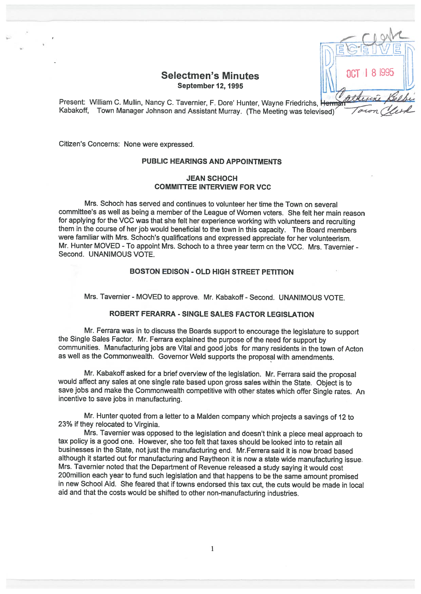# Selectmen's Minutes September 12, 1995

Present: William C. Mullin, Nancy C. Tavernier, F. Dore' Hunter, Wayne Friedrichs, Herma Kabakoff, Town Manager Johnson and Assistant Murray. (The Meeting was televised)

Citizen's Concerns: None were expressed.

### PUBLIC HEARINGS AND APPOINTMENTS

## JEAN SCHOCH COMMITTEE INTERVIEW FOR VCC

Mrs. Schoch has served and continues to volunteer her time the Town on several committee's as well as being <sup>a</sup> member of the League of Women voters. She felt her main reason for applying for the VCC was that she felt her experience working with volunteers and recruiting them in the course of her job would beneficial to the town in this capacity. The Board members were familiar with Mrs. Schoch's qualifications and expressed appreciate for her volunteerism. Mr. Hunter MOVED -To appoint Mrs. Schoch to <sup>a</sup> three year term on the VCC. Mrs. Tavernier - Second. UNANIMOUS VOTE.

# BOSTON EDISON - OLD HIGH STREET PETITION

Mrs. Tavernier - MOVED to approve. Mr. Kabakoff - Second. UNANIMOUS VOTE.

## ROBERT FERARRA - SINGLE SALES FACTOR LEGISLATION

Mr. Ferrara was in to discuss the Boards support to encourage the legislature to support the Single Sales Factor. Mr. Ferrara explained the purpose of the need for support by communities. Manufacturing jobs are Vital and good jobs for many residents in the town of Acton as well as the Commonwealth. Governor Weld supports the proposal with amendments.

Mr. Kabakoff asked for <sup>a</sup> brief overview of the legislation. Mr. Ferrara said the proposal would affect any sales at one single rate based upon gross sales within the State. Object is to save jobs and make the Commonwealth competitive with other states which offer Single rates. An incentive to save jobs in manufacturing.

Mr. Hunter quoted from <sup>a</sup> letter to <sup>a</sup> MaIden company which projects <sup>a</sup> savings of <sup>12</sup> to 23% if they relocated to Virginia.

Mrs. Tavernier was opposed to the legislation and doesn't think <sup>a</sup> <sup>p</sup>iece meal approach to tax policy is <sup>a</sup> good one. However, she too felt that taxes should be looked into to retain all businesses in the State, not just the manufacturing end. Mr.Ferrera said it is now broad based although it started out for manufacturing and Raytheon it is now <sup>a</sup> state wide manufacturing issue. Mrs. Tavernier noted that the Department of Revenue released <sup>a</sup> study saying it would cost 200million each year to fund such legislation and that happens to be the same amount promised in new School Aid. She feared that if towns endorsed this tax cut, the cuts would be made in local aid and that the costs would be shifted to other non-manufacturing industries.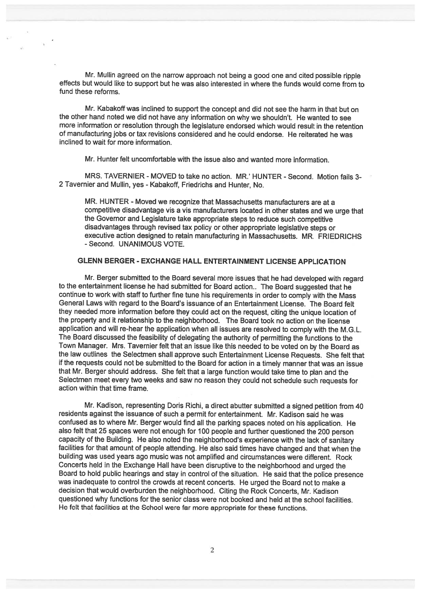Mr. Mullin agree<sup>d</sup> on the narrow approac<sup>h</sup> not being <sup>a</sup> goo<sup>d</sup> one and cited possible ripple effects but would like to suppor<sup>t</sup> but he was also interested in where the funds would come from to fund these reforms.

Mr. Kabakoff was inclined to suppor<sup>t</sup> the concep<sup>t</sup> and did not see the harm in that but on the other hand noted we did not have any information on why we shouldn't. He wanted to see more information or resolution through the legislature endorsed which would result in the retention of manufacturing jobs or tax revisions considered and he could endorse. He reiterated he was inclined to wait for more information.

Mr. Hunter felt uncomfortable with the issue also and wanted more information.

MRS. TAVERNIER - MOVED to take no action. MR.' HUNTER - Second. Motion fails 3-2 Tavernier and Mullin, yes - Kabakoff, Friedrichs and Hunter, No.

MR. HUNTER - Moved we recognize that Massachusetts manufacturers are at <sup>a</sup> competitive disadvantage vis <sup>a</sup> vis manufacturers located in other states and we urge that the Governor and Legislature take appropriate steps to reduce such competitive disadvantages through revised tax policy or other appropriate legislative steps or executive action designed to retain manufacturing in Massachusetts. MR. FRIEDRICHS -Second. UNANIMOUS VOTE.

## GLENN BERGER - EXCHANGE HALL ENTERTAINMENT LICENSE APPLICATION

Mr. Berger submitted to the Board several more issues that he had developed with regar<sup>d</sup> to the entertainment license he had submitted for Board action.. The Board suggested that he continue to work with staff to further fine tune his requirements in order to comply with the Mass General Laws with regard to the Board's issuance of an Entertainment License. The Board felt they needed more information before they could act on the request, citing the unique location of the property and it relationship to the neighborhood. The Board took no action on the license application and will re-hear the application when all issues are resolved to comply with the M.G.L. The Board discussed the feasibility of delegating the authority of permitting the functions to the Town Manager. Mrs. Tavernier felt that an issue like this needed to be voted on by the Board as the law outlines the Selectmen shall approve such Entertainment License Requests. She felt that if the requests could not be submitted to the Board for action in <sup>a</sup> timely manner that was an issue that Mr. Berger should address. She felt that <sup>a</sup> large function would take time to <sup>p</sup>lan and the Selectmen meet every two weeks and saw no reason they could not schedule such requests for action within that time frame.

Mr. Kadison, representing Doris Richi, <sup>a</sup> direct abutter submitted <sup>a</sup> signed petition from <sup>40</sup> residents against the issuance of such <sup>a</sup> permit for entertainment. Mr. Kadison said he was confused as to where Mr. Berger would find all the parking spaces noted on his application. He also felt that <sup>25</sup> spaces were not enoug<sup>h</sup> for <sup>100</sup> people and further questioned the <sup>200</sup> person capacity of the Building. He also noted the neighborhood's experience with the lack of sanitary facilities for that amount of people attending. He also said times have changed and that when the building was used years ago music was not amplified and circumstances were different. Rock Concerts held in the Exchange Hall have been disruptive to the neighborhood and urge<sup>d</sup> the Board to hold public hearings and stay in control of the situation. He said that the police presence was inadequate to control the crowds at recent concerts. He urge<sup>d</sup> the Board not to make <sup>a</sup> decision that would overburden the neighborhood. Citing the Rock Concerts, Mr. Kadison questioned why functions for the senior class were not booked and held at the school facilities. He felt that facilities at the School were far more appropriate for these functions.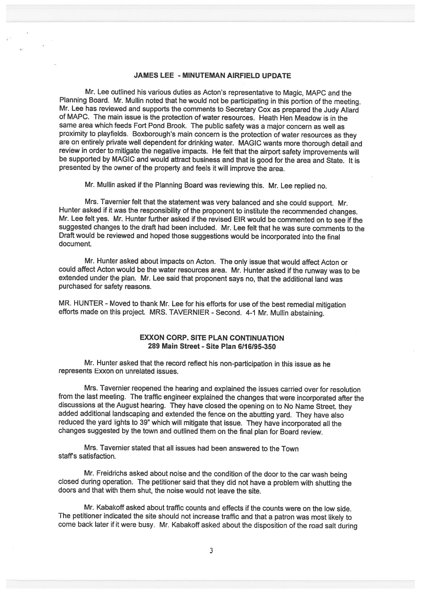#### JAMES LEE - MINUTEMAN AIRFIELD UPDATE

Mr. Lee outlined his various duties as Acton's representative to Magic, MAPC and the<br>Planning Board. Mr. Mullin noted that he would not be participating in this portion of the meeting. Mr. Lee has reviewed and supports the comments to Secretary Cox as prepared the Judy Allard of MAPC. The main issue is the protection of water resources. Heath Hen Meadow is in the same area which feeds Fort Pond Brook. The public safety was <sup>a</sup> major concern as well as proximity to <sup>p</sup>layfields. Boxborough's main concern is the protection of water resources as they are on entirely private well dependent for drinking water. MAGIC wants more thorough detail and review in order to mitigate the negative impacts. He felt that the airport safety improvements will be supported by MAGIC and would attract business and that is good for the area and State. It is presented by the owner of the property and feels it will improve the area.

Mr. Mullin asked if the Planning Board was reviewing this. Mr. Lee replied no.

Mrs. Tavernier felt that the statement was very balanced and she could support. Mr. Hunter asked if it was the responsibility of the proponent to institute the recommended changes. Mr. Lee felt yes. Mr. Hunter further asked if the revised EIR would be commented on to see if the suggested changes to the draft had been included. Mr. Lee felt that he was sure comments to the Draft would be reviewed and hoped those suggestions would be incorporated into the final document.

Mr. Hunter asked about impacts on Acton. The only issue that would affect Acton or could affect Acton would be the water resources area. Mr. Hunter asked if the runway was to be extended under the <sup>p</sup>lan. Mr. Lee said that proponent says no, that the additional land was purchased for safety reasons.

MR. HUNTER - Moved to thank Mr. Lee for his efforts for use of the best remedial mitigation efforts made on this project. MRS. TAVERNIER - Second. 4-1 Mr. Mullin abstaining.

# EXXON CORP. SITE PLAN CONTINUATION 289 Main Street - Site Plan 611 6195-350

Mr. Hunter asked that the record reflect his non-participation in this issue as he represents Exxon on unrelated issues.

Mrs. Tavernier reopened the hearing and explained the issues carried over for resolution from the last meeting. The traffic engineer explained the changes that were incorporated after the discussions at the August hearing. They have closed the opening on to No Name Street, they added additional landscaping and extended the fence on the abutting yard. They have also reduced the yard lights to 39" which will mitigate that issue. They have incorporated all the changes suggested by the town and outlined them on the final <sup>p</sup>lan for Board review.

Mrs. Tavernier stated that all issues had been answered to the Town staffs satisfaction.

Mr. Freidrichs asked about noise and the condition of the door to the car wash being closed during operation. The petitioner said that they did not have a problem with shutting the doors and that with them shut, the noise would not leave the site.

Mr. Kabakoff asked about traffic counts and effects if the counts were on the low side. The petitioner indicated the site should not increase traffic and that <sup>a</sup> patron was most likely to come back later if it were busy. Mr. Kabakoff asked about the disposition of the road salt during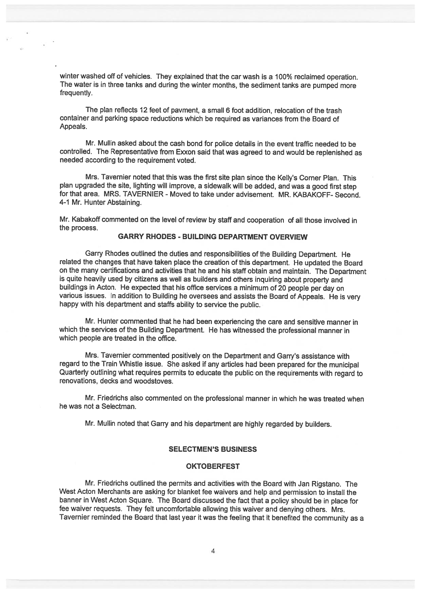winter washed off of vehicles. They explained that the car wash is a 100% reclaimed operation. The water is in three tanks and during the winter months, the sediment tanks are pumpe<sup>d</sup> more frequently.

The <sup>p</sup>lan reflects <sup>12</sup> feet of payment, <sup>a</sup> small <sup>6</sup> foot addition, relocation of the trash container and parking space reductions which be required as variances from the Board of Appeals.

Mr. Mullin asked about the cash bond for police details in the event traffic needed to be controlled. The Representative from Exxon said that was agree<sup>d</sup> to and would be replenished as needed according to the requirement voted.

Mrs. Tavernier noted that this was the first site <sup>p</sup>lan since the Kelly's Corner Plan. This <sup>p</sup>lan upgraded the site, lighting will improve, <sup>a</sup> sidewalk will be added, and was <sup>a</sup> goo<sup>d</sup> first step for that area. MRS. TAVERNIER - Moved to take under advisement. MR. KABAKOFF- Second. 4-1 Mr. Hunter Abstaining.

Mr. Kabakoff commented on the level of review by staff and cooperation of all those involved in the process.

## GARRY RHODES - BUILDING DEPARTMENT OVERVIEW

Garry Rhodes outlined the duties and responsibilities of the Building Department. He related the changes that have taken <sup>p</sup>lace the creation of this department. He updated the Board on the many certifications and activities that he and his staff obtain and maintain. The Department is quite heavily used by citizens as well as builders and others inquiring about property and buildings in Acton. He expected that his office services <sup>a</sup> minimum of <sup>20</sup> people per day on various issues. In addition to Building he oversees and assists the Board of Appeals. He is very happy with his department and staffs ability to service the public.

Mr. Hunter commented that he had been experiencing the care and sensitive manner in which the services of the Building Department. He has witnessed the professional manner in which people are treated in the office.

Mrs. Tavernier commented positively on the Department and Garry's assistance with regar<sup>d</sup> to the Train Whistle issue. She asked if any articles had been prepare<sup>d</sup> for the municipal Quarterly outlining what requires permits to educate the public on the requirements with regar<sup>d</sup> to renovations, decks and woodstoves.

Mr. Friedrichs also commented on the professional manner in which he was treated when he was not <sup>a</sup> Selectman.

Mr. Mullin noted that Garry and his department are highly regarded by builders.

#### SELECTMEN'S BUSINESS

#### **OKTOBERFEST**

Mr. Friedrichs outlined the permits and activities with the Board with Jan Rigstano. The West Acton Merchants are asking for blanket fee waivers and help and permission to install the banner in West Acton Square. The Board discussed the fact that <sup>a</sup> policy should be in <sup>p</sup>lace for fee waiver requests. They felt uncomfortable allowing this waiver and denying others. Mrs. Tavernier reminded the Board that last year it was the feeling that it benefited the community as <sup>a</sup>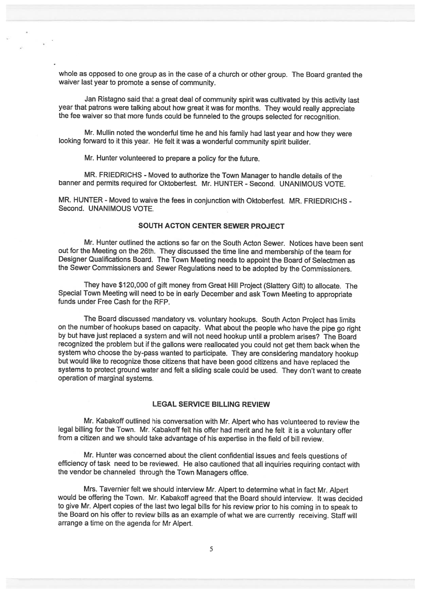whole as opposed to one group as in the case of <sup>a</sup> church or other group. The Board granted the waiver last year to promote <sup>a</sup> sense of community.

Jan Ristagno said that <sup>a</sup> great deal of community spirit was cultivated by this activity last year that patrons were talking about how great it was for months. They would really appreciate the fee waiver so that more funds could be funneled to the groups selected for recognition.

Mr. Mullin noted the wonderful time he and his family had last year and how they were looking forward to it this year. He felt it was <sup>a</sup> wonderful community spirit builder.

Mr. Hunter volunteered to prepare <sup>a</sup> policy for the future.

MR. FRIEDRICHS - Moved to authorize the Town Manager to handle details of the banner and permits required for Oktoberfest. Mr. HUNTER - Second. UNANIMOUS VOTE.

MR. HUNTER - Moved to waive the fees in conjunction with Oktoberfest. MR. FRIEDRICHS - Second. UNANIMOUS VOTE.

#### SOUTH ACTON CENTER SEWER PROJECT

Mr. Hunter outlined the actions so far on the South Acton Sewer. Notices have been sent out for the Meeting on the 26th. They discussed the time line and membership of the team for Designer Qualifications Board. The Town Meeting needs to appoint the Board of Selectmen as the Sewer Commissioners and Sewer Regulations need to be adopted by the Commissioners.

They have \$120,000 of <sup>g</sup>ift money from Great Hill Project (Slattery Gift) to allocate. The Special Town Meeting will need to be in early December and ask Town Meeting to appropriate funds under Free Cash for the RFP.

The Board discussed mandatory vs. voluntary hookups. South Acton Project has limits on the number of hookups based on capacity. What about the people who have the <sup>p</sup>ipe go right by but have just replaced <sup>a</sup> system and will not need hookup until <sup>a</sup> problem arises? The Board recognized the problem but if the gallons were reallocated you could not get them back when the system who choose the by-pass wanted to participate. They are considering mandatory hookup but would like to recognize those citizens that have been good citizens and have replaced the systems to protect ground water and felt <sup>a</sup> sliding scale could be used. They don't want to create operation of marginal systems.

#### LEGAL SERVICE BILLING REVIEW

Mr. Kabakoff outlined his conversation with Mr. Alpert who has volunteered to review the legal billing for the Town. Mr. Kabakoff felt his offer had merit and he felt it is <sup>a</sup> voluntary offer from <sup>a</sup> citizen and we should take advantage of his expertise in the field of bill review.

Mr. Hunter was concerned about the client confidential issues and feels questions of efficiency of task need to be reviewed. He also cautioned that all inquiries requiring contact with the vendor be channeled through the Town Managers office.

Mrs. Tavernier felt we should interview Mr. Alpert to determine what in fact Mr. Alpert would be offering the Town. Mr. Kabakoff agreed that the Board should interview. It was decided to <sup>g</sup>ive Mr. Alpert copies of the last two legal bills for his review prior to his coming in to speak to the Board on his offer to review bills as an example of what we are currently receiving. Staff will arrange <sup>a</sup> time on the agenda for Mr Alpert.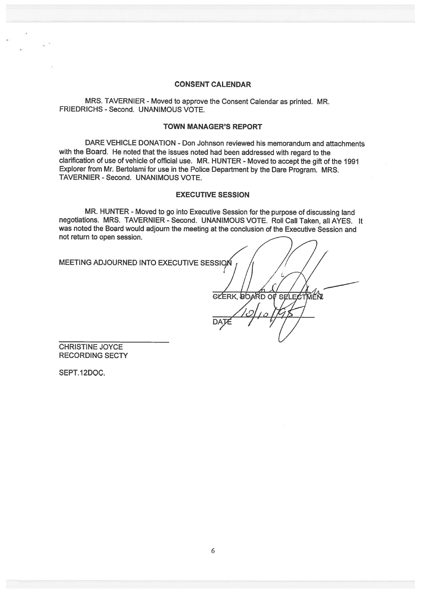## CONSENT CALENDAR

MRS. TAVERNIER - Moved to approve the Consent Calendar as printed. MR. FRIEDRICHS - Second. UNANIMOUS VOTE.

#### TOWN MANAGER'S REPORT

DARE VEHICLE DONATION - Don Johnson reviewed his memorandum and attachments with the Board. He noted that the issues noted had been addressed with regar<sup>d</sup> to the clarification of use of vehicle of official use. MR. HUNTER - Moved to accep<sup>t</sup> the <sup>g</sup>ift of the <sup>1991</sup> Explorer from Mr. Bertolami for use in the Police Department by the Dare Program. MRS. TAVERNIER -Second. UNANIMOUS VOTE.

## EXECUTIVE SESSION

MR. HUNTER - Moved to go into Executive Session for the purpose of discussing land negotiations. MRS. TAVERNIER - Second. UNANIMOUS VOTE. Roll Call Taken, all AYES. It was noted the Board would adjourn the meeting at the conclusion of the Executive Session and not return to open session.

MEETING ADJOURNED INTO EXECUTIVE SESSION

 $\mathcal{I}$  $\frac{1}{2}$ DATE / *1/* /

CHRISTINE JOYCE RECORDING SECTY

SEPT. 12DOC.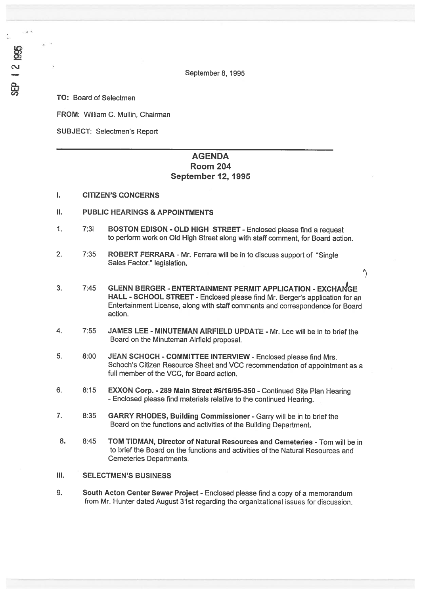September 8, 1995

TO: Board of Selectmen

2 1995

FROM: William C. Mullin, Chairman

SUBJECT: Selectmen's Report

# AGENDA Room 204 September 12, 1995

### I. CITIZEN'S CONCERNS

- II. PUBLIC HEARINGS & APPOINTMENTS
- 1. 7:31 BOSTON EDISON OLD HIGH STREET -Enclosed <sup>p</sup>lease find <sup>a</sup> reques<sup>t</sup> to perform work on Old High Street along with staff comment, for Board action.
- 2. 7:35 ROBERT FERRARA Mr. Ferrara will be in to discuss support of "Single" Sales Factor." legislation.
- 3. 7:45 GLENN BERGER ENTERTAINMENT PERMIT APPLICATION EXCHANGE HALL - SCHOOL STREET - Enclosed <sup>p</sup>lease find Mr. Berger's application for an Entertainment License, along with staff comments and correspondence for Board action.

 $\hat{\mathcal{L}}$ 

- 4. 7:55 JAMES LEE MINUTEMAN AIRFIELD UPDATE Mr. Lee will be in to brief the Board on the Minuteman Airfield proposal.
- 5. 8:00 JEAN SCHOCH COMMITTEE INTERVIEW Enclosed please find Mrs. Schoch's Citizen Resource Sheet and VCC recommendation of appointment as <sup>a</sup> full member of the VCC, for Board action.
- 6. 8:15 EXXON Corp. <sup>289</sup> Main Street #6116195-350 -Continued Site Plan Hearing -Enclosed <sup>p</sup>lease find materials relative to the continued Hearing.
- 7. 6:35 GARRY RHODES, Building Commissioner Garry will be in to brief the Board on the functions and activities of the Building Department.
- 8. 8:45 TOM TIDMAN, Director of Natural Resources and Cemeteries Tom will be in to brief the Board on the functions and activities of the Natural Resources and Cemeteries Departments.
- III. SELECTMEN'S BUSINESS
- 9. South Acton Center Sewer Project Enclosed please find a copy of a memorandum from Mr. Hunter dated August 31st regarding the organizational issues for discussion.